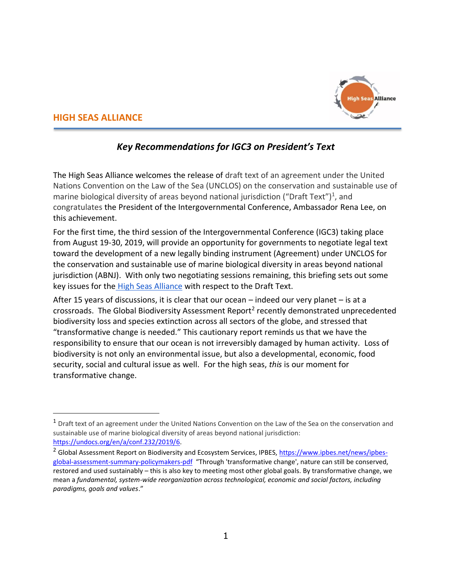

## **HIGH SEAS ALLIANCE**

 $\overline{a}$ 

# *Key Recommendations for IGC3 on President's Text*

The High Seas Alliance welcomes the release of draft text of an agreement under the United Nations Convention on the Law of the Sea (UNCLOS) on the conservation and sustainable use of marine biological diversity of areas beyond national jurisdiction ("Draft Text")<sup>1</sup>, and congratulates the President of the Intergovernmental Conference, Ambassador Rena Lee, on this achievement.

For the first time, the third session of the Intergovernmental Conference (IGC3) taking place from August 19-30, 2019, will provide an opportunity for governments to negotiate legal text toward the development of a new legally binding instrument (Agreement) under UNCLOS for the conservation and sustainable use of marine biological diversity in areas beyond national jurisdiction (ABNJ). With only two negotiating sessions remaining, this briefing sets out some key issues for the [High Seas Alliance](http://highseasalliance.org/) with respect to the Draft Text.

After 15 years of discussions, it is clear that our ocean – indeed our very planet – is at a crossroads. The Global Biodiversity Assessment Report<sup>2</sup> recently demonstrated unprecedented biodiversity loss and species extinction across all sectors of the globe, and stressed that "transformative change is needed." This cautionary report reminds us that we have the responsibility to ensure that our ocean is not irreversibly damaged by human activity. Loss of biodiversity is not only an environmental issue, but also a developmental, economic, food security, social and cultural issue as well. For the high seas, *this* is our moment for transformative change.

<sup>&</sup>lt;sup>1</sup> Draft text of an agreement under the United Nations Convention on the Law of the Sea on the conservation and sustainable use of marine biological diversity of areas beyond national jurisdiction: [https://undocs.org/en/a/conf.232/2019/6.](https://undocs.org/en/a/conf.232/2019/6)

<sup>&</sup>lt;sup>2</sup> Global Assessment Report on Biodiversity and Ecosystem Services, IPBES, [https://www.ipbes.net/news/ipbes](https://www.ipbes.net/news/ipbes-global-assessment-summary-policymakers-pdf)[global-assessment-summary-policymakers-pdf](https://www.ipbes.net/news/ipbes-global-assessment-summary-policymakers-pdf) "Through 'transformative change', nature can still be conserved, restored and used sustainably – this is also key to meeting most other global goals. By transformative change, we mean a *fundamental, system-wide reorganization across technological, economic and social factors, including paradigms, goals and values*."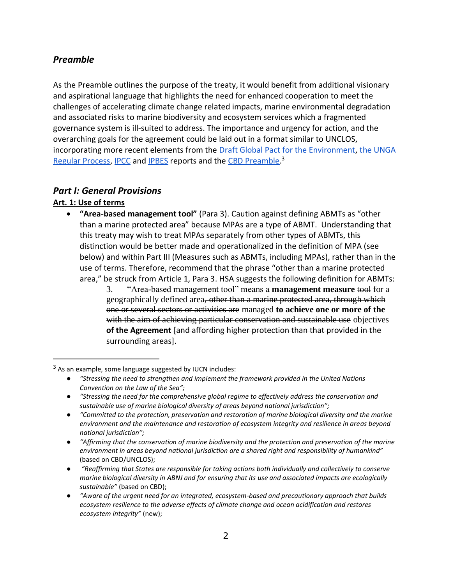## *Preamble*

As the Preamble outlines the purpose of the treaty, it would benefit from additional visionary and aspirational language that highlights the need for enhanced cooperation to meet the challenges of accelerating climate change related impacts, marine environmental degradation and associated risks to marine biodiversity and ecosystem services which a fragmented governance system is ill-suited to address. The importance and urgency for action, and the overarching goals for the agreement could be laid out in a format similar to UNCLOS, incorporating more recent elements from the [Draft Global Pact for the Environment,](https://www.iucn.org/sites/dev/files/content/documents/draft-project-of-the-global-pact-for-the-environment.pdf) [the UNGA](https://www.un.org/regularprocess/content/regular-process-0)  [Regular Process,](https://www.un.org/regularprocess/content/regular-process-0) [IPCC](https://www.ipcc.ch/reports/) an[d IPBES](https://www.ipbes.net/sites/default/files/downloads/spm_unedited_advance_for_posting_htn.pdf) reports and the [CBD Preamble.](https://www.cbd.int/convention/articles/default.shtml?a=cbd-00)<sup>3</sup>

## *Part I: General Provisions*

## **Art. 1: Use of terms**

 $\overline{a}$ 

- **"Area-based management tool"** (Para 3). Caution against defining ABMTs as "other than a marine protected area" because MPAs are a type of ABMT. Understanding that this treaty may wish to treat MPAs separately from other types of ABMTs, this distinction would be better made and operationalized in the definition of MPA (see below) and within Part III (Measures such as ABMTs, including MPAs), rather than in the use of terms. Therefore, recommend that the phrase "other than a marine protected area," be struck from Article 1, Para 3. HSA suggests the following definition for ABMTs:
	- 3. "Area-based management tool" means a **management measure** tool for a geographically defined area, other than a marine protected area, through which one or several sectors or activities are managed **to achieve one or more of the**  with the aim of achieving particular conservation and sustainable use objectives **of the Agreement** [and affording higher protection than that provided in the surrounding areas].

● *"Stressing the need for the comprehensive global regime to effectively address the conservation and sustainable use of marine biological diversity of areas beyond national jurisdiction";*

 $3$  As an example, some language suggested by IUCN includes:

<sup>●</sup> *"Stressing the need to strengthen and implement the framework provided in the United Nations Convention on the Law of the Sea";*

<sup>●</sup> *"Committed to the protection, preservation and restoration of marine biological diversity and the marine environment and the maintenance and restoration of ecosystem integrity and resilience in areas beyond national jurisdiction";*

<sup>●</sup> *"Affirming that the conservation of marine biodiversity and the protection and preservation of the marine environment in areas beyond national jurisdiction are a shared right and responsibility of humankind*" (based on CBD/UNCLOS);

<sup>●</sup> *"Reaffirming that States are responsible for taking actions both individually and collectively to conserve marine biological diversity in ABNJ and for ensuring that its use and associated impacts are ecologically sustainable"* (based on CBD);

<sup>●</sup> *"Aware of the urgent need for an integrated, ecosystem-based and precautionary approach that builds ecosystem resilience to the adverse effects of climate change and ocean acidification and restores ecosystem integrity"* (new);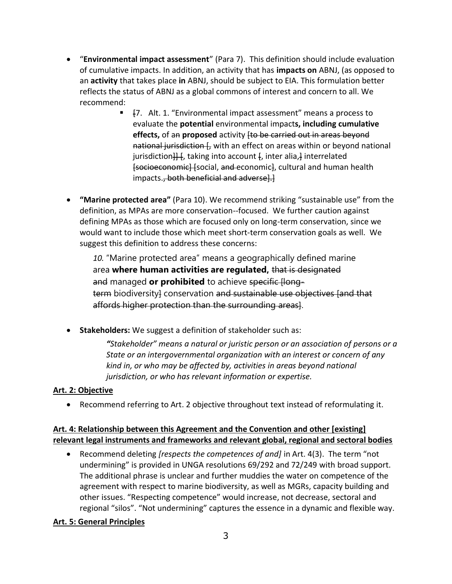- "**Environmental impact assessment**" (Para 7). This definition should include evaluation of cumulative impacts. In addition, an activity that has **impacts on** ABNJ, (as opposed to an **activity** that takes place **in** ABNJ, should be subject to EIA. This formulation better reflects the status of ABNJ as a global commons of interest and concern to all. We recommend:
	- [7. Alt. 1. "Environmental impact assessment" means a process to evaluate the **potential** environmental impact**s, including cumulative effects,** of an **proposed** activity [to be carried out in areas beyond national jurisdiction [, with an effect on areas within or beyond national jurisdiction $\frac{11}{10}$ , taking into account  $\frac{1}{10}$ , inter alia,  $\frac{1}{10}$  interrelated [socioeconomic] [social, and economic], cultural and human health impacts., both beneficial and adverse].]
- **"Marine protected area"** (Para 10). We recommend striking "sustainable use" from the definition, as MPAs are more conservation--focused. We further caution against defining MPAs as those which are focused only on long-term conservation, since we would want to include those which meet short-term conservation goals as well. We suggest this definition to address these concerns:

*10.* "Marine protected area" means a geographically defined marine area **where human activities are regulated,** that is designated and managed **or prohibited** to achieve specific [longterm biodiversity conservation and sustainable use objectives [and that affords higher protection than the surrounding areas].

• **Stakeholders:** We suggest a definition of stakeholder such as:

*"Stakeholder" means a natural or juristic person or an association of persons or a State or an intergovernmental organization with an interest or concern of any kind in, or who may be affected by, activities in areas beyond national jurisdiction, or who has relevant information or expertise.*

#### **Art. 2: Objective**

• Recommend referring to Art. 2 objective throughout text instead of reformulating it.

## **Art. 4: Relationship between this Agreement and the Convention and other [existing] relevant legal instruments and frameworks and relevant global, regional and sectoral bodies**

• Recommend deleting *[respects the competences of and]* in Art. 4(3). The term "not undermining" is provided in UNGA resolutions 69/292 and 72/249 with broad support. The additional phrase is unclear and further muddies the water on competence of the agreement with respect to marine biodiversity, as well as MGRs, capacity building and other issues. "Respecting competence" would increase, not decrease, sectoral and regional "silos". "Not undermining" captures the essence in a dynamic and flexible way.

#### **Art. 5: General Principles**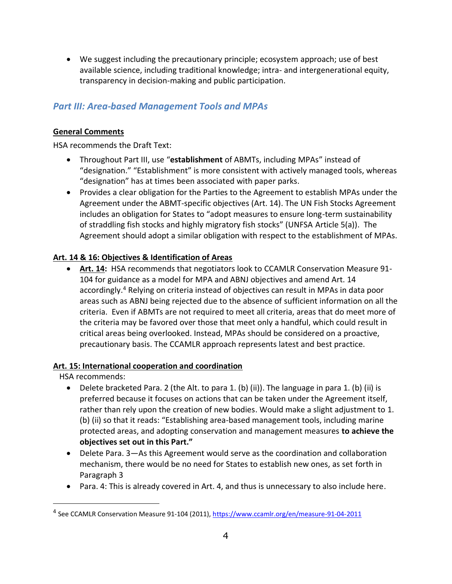• We suggest including the precautionary principle; ecosystem approach; use of best available science, including traditional knowledge; intra- and intergenerational equity, transparency in decision-making and public participation.

# *Part III: Area-based Management Tools and MPAs*

## **General Comments**

HSA recommends the Draft Text:

- Throughout Part III, use "**establishment** of ABMTs, including MPAs" instead of "designation." "Establishment" is more consistent with actively managed tools, whereas "designation" has at times been associated with paper parks.
- Provides a clear obligation for the Parties to the Agreement to establish MPAs under the Agreement under the ABMT-specific objectives (Art. 14). The UN Fish Stocks Agreement includes an obligation for States to "adopt measures to ensure long-term sustainability of straddling fish stocks and highly migratory fish stocks" (UNFSA Article 5(a)). The Agreement should adopt a similar obligation with respect to the establishment of MPAs.

## **Art. 14 & 16: Objectives & Identification of Areas**

• **Art. 14:** HSA recommends that negotiators look to CCAMLR Conservation Measure 91- 104 for guidance as a model for MPA and ABNJ objectives and amend Art. 14 accordingly. <sup>4</sup> Relying on criteria instead of objectives can result in MPAs in data poor areas such as ABNJ being rejected due to the absence of sufficient information on all the criteria. Even if ABMTs are not required to meet all criteria, areas that do meet more of the criteria may be favored over those that meet only a handful, which could result in critical areas being overlooked. Instead, MPAs should be considered on a proactive, precautionary basis. The CCAMLR approach represents latest and best practice.

## **Art. 15: International cooperation and coordination**

HSA recommends:

 $\overline{a}$ 

- Delete bracketed Para. 2 (the Alt. to para 1. (b) (ii)). The language in para 1. (b) (ii) is preferred because it focuses on actions that can be taken under the Agreement itself, rather than rely upon the creation of new bodies. Would make a slight adjustment to 1. (b) (ii) so that it reads: "Establishing area-based management tools, including marine protected areas, and adopting conservation and management measures **to achieve the objectives set out in this Part."**
- Delete Para. 3—As this Agreement would serve as the coordination and collaboration mechanism, there would be no need for States to establish new ones, as set forth in Paragraph 3
- Para. 4: This is already covered in Art. 4, and thus is unnecessary to also include here.

<sup>4</sup> See CCAMLR Conservation Measure 91-104 (2011),<https://www.ccamlr.org/en/measure-91-04-2011>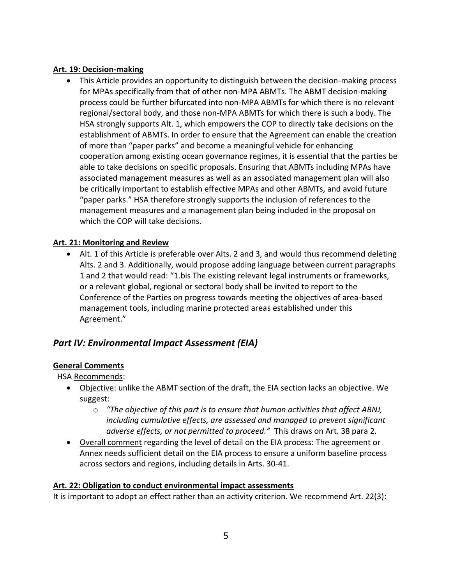### **Art. 19: Decision-making**

• This Article provides an opportunity to distinguish between the decision-making process for MPAs specifically from that of other non-MPA ABMTs. The ABMT decision-making process could be further bifurcated into non-MPA ABMTs for which there is no relevant regional/sectoral body, and those non-MPA ABMTs for which there is such a body. The HSA strongly supports Alt. 1, which empowers the COP to directly take decisions on the establishment of ABMTs. In order to ensure that the Agreement can enable the creation of more than "paper parks" and become a meaningful vehicle for enhancing cooperation among existing ocean governance regimes, it is essential that the parties be able to take decisions on specific proposals. Ensuring that ABMTs including MPAs have associated management measures as well as an associated management plan will also be critically important to establish effective MPAs and other ABMTs, and avoid future "paper parks." HSA therefore strongly supports the inclusion of references to the management measures and a management plan being included in the proposal on which the COP will take decisions.

#### **Art. 21: Monitoring and Review**

• Alt. 1 of this Article is preferable over Alts. 2 and 3, and would thus recommend deleting Alts. 2 and 3. Additionally, would propose adding language between current paragraphs 1 and 2 that would read: "1.bis The existing relevant legal instruments or frameworks, or a relevant global, regional or sectoral body shall be invited to report to the Conference of the Parties on progress towards meeting the objectives of area-based management tools, including marine protected areas established under this Agreement."

# *Part IV: Environmental Impact Assessment (EIA)*

## **General Comments**

HSA Recommends:

- Objective: unlike the ABMT section of the draft, the EIA section lacks an objective. We suggest:
	- o *"The objective of this part is to ensure that human activities that affect ABNJ, including cumulative effects, are assessed and managed to prevent significant adverse effects, or not permitted to proceed."* This draws on Art. 38 para 2.
- Overall comment regarding the level of detail on the EIA process: The agreement or Annex needs sufficient detail on the EIA process to ensure a uniform baseline process across sectors and regions, including details in Arts. 30-41.

## **Art. 22: Obligation to conduct environmental impact assessments**

It is important to adopt an effect rather than an activity criterion. We recommend Art. 22(3):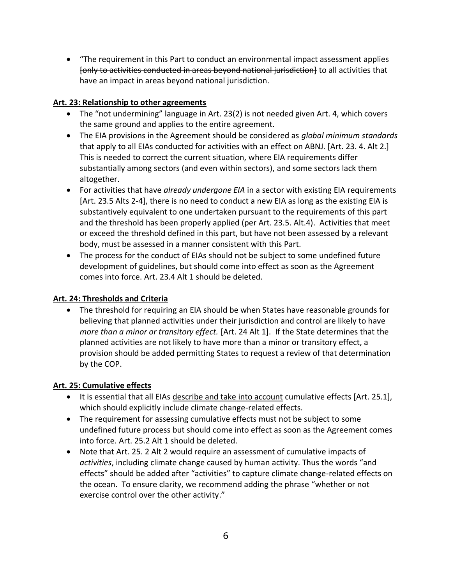• "The requirement in this Part to conduct an environmental impact assessment applies [only to activities conducted in areas beyond national jurisdiction] to all activities that have an impact in areas beyond national jurisdiction.

## **Art. 23: Relationship to other agreements**

- The "not undermining" language in Art. 23(2) is not needed given Art. 4, which covers the same ground and applies to the entire agreement.
- The EIA provisions in the Agreement should be considered as *global minimum standards* that apply to all EIAs conducted for activities with an effect on ABNJ. [Art. 23. 4. Alt 2.] This is needed to correct the current situation, where EIA requirements differ substantially among sectors (and even within sectors), and some sectors lack them altogether.
- For activities that have *already undergone EIA* in a sector with existing EIA requirements [Art. 23.5 Alts 2-4], there is no need to conduct a new EIA as long as the existing EIA is substantively equivalent to one undertaken pursuant to the requirements of this part and the threshold has been properly applied (per Art. 23.5. Alt.4). Activities that meet or exceed the threshold defined in this part, but have not been assessed by a relevant body, must be assessed in a manner consistent with this Part.
- The process for the conduct of EIAs should not be subject to some undefined future development of guidelines, but should come into effect as soon as the Agreement comes into force. Art. 23.4 Alt 1 should be deleted.

## **Art. 24: Thresholds and Criteria**

• The threshold for requiring an EIA should be when States have reasonable grounds for believing that planned activities under their jurisdiction and control are likely to have *more than a minor or transitory effect.* [Art. 24 Alt 1]. If the State determines that the planned activities are not likely to have more than a minor or transitory effect, a provision should be added permitting States to request a review of that determination by the COP.

## **Art. 25: Cumulative effects**

- It is essential that all EIAs describe and take into account cumulative effects [Art. 25.1], which should explicitly include climate change-related effects.
- The requirement for assessing cumulative effects must not be subject to some undefined future process but should come into effect as soon as the Agreement comes into force. Art. 25.2 Alt 1 should be deleted.
- Note that Art. 25. 2 Alt 2 would require an assessment of cumulative impacts of *activities*, including climate change caused by human activity. Thus the words "and effects" should be added after "activities" to capture climate change-related effects on the ocean. To ensure clarity, we recommend adding the phrase "whether or not exercise control over the other activity."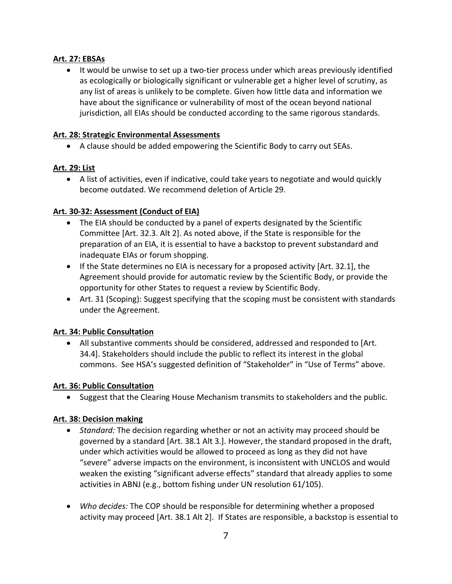### **Art. 27: EBSAs**

• It would be unwise to set up a two-tier process under which areas previously identified as ecologically or biologically significant or vulnerable get a higher level of scrutiny, as any list of areas is unlikely to be complete. Given how little data and information we have about the significance or vulnerability of most of the ocean beyond national jurisdiction, all EIAs should be conducted according to the same rigorous standards.

#### **Art. 28: Strategic Environmental Assessments**

• A clause should be added empowering the Scientific Body to carry out SEAs.

#### **Art. 29: List**

• A list of activities, even if indicative, could take years to negotiate and would quickly become outdated. We recommend deletion of Article 29.

## **Art. 30-32: Assessment (Conduct of EIA)**

- The EIA should be conducted by a panel of experts designated by the Scientific Committee [Art. 32.3. Alt 2]. As noted above, if the State is responsible for the preparation of an EIA, it is essential to have a backstop to prevent substandard and inadequate EIAs or forum shopping.
- If the State determines no EIA is necessary for a proposed activity [Art. 32.1], the Agreement should provide for automatic review by the Scientific Body, or provide the opportunity for other States to request a review by Scientific Body.
- Art. 31 (Scoping): Suggest specifying that the scoping must be consistent with standards under the Agreement.

#### **Art. 34: Public Consultation**

• All substantive comments should be considered, addressed and responded to [Art. 34.4]. Stakeholders should include the public to reflect its interest in the global commons. See HSA's suggested definition of "Stakeholder" in "Use of Terms" above.

#### **Art. 36: Public Consultation**

• Suggest that the Clearing House Mechanism transmits to stakeholders and the public.

#### **Art. 38: Decision making**

- *Standard:* The decision regarding whether or not an activity may proceed should be governed by a standard [Art. 38.1 Alt 3.]. However, the standard proposed in the draft, under which activities would be allowed to proceed as long as they did not have "severe" adverse impacts on the environment, is inconsistent with UNCLOS and would weaken the existing "significant adverse effects" standard that already applies to some activities in ABNJ (e.g., bottom fishing under UN resolution 61/105).
- *Who decides:* The COP should be responsible for determining whether a proposed activity may proceed [Art. 38.1 Alt 2]. If States are responsible, a backstop is essential to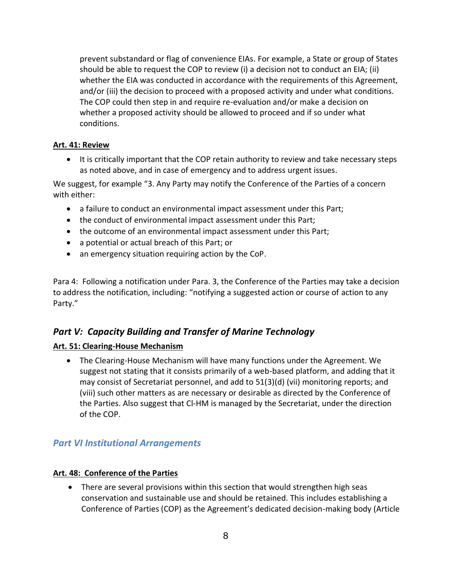prevent substandard or flag of convenience EIAs. For example, a State or group of States should be able to request the COP to review (i) a decision not to conduct an EIA; (ii) whether the EIA was conducted in accordance with the requirements of this Agreement, and/or (iii) the decision to proceed with a proposed activity and under what conditions. The COP could then step in and require re-evaluation and/or make a decision on whether a proposed activity should be allowed to proceed and if so under what conditions.

#### **Art. 41: Review**

• It is critically important that the COP retain authority to review and take necessary steps as noted above, and in case of emergency and to address urgent issues.

We suggest, for example "3. Any Party may notify the Conference of the Parties of a concern with either:

- a failure to conduct an environmental impact assessment under this Part;
- the conduct of environmental impact assessment under this Part;
- the outcome of an environmental impact assessment under this Part;
- a potential or actual breach of this Part; or
- an emergency situation requiring action by the CoP.

Para 4: Following a notification under Para. 3, the Conference of the Parties may take a decision to address the notification, including: "notifying a suggested action or course of action to any Party."

# *Part V: Capacity Building and Transfer of Marine Technology*

## **Art. 51: Clearing-House Mechanism**

• The Clearing-House Mechanism will have many functions under the Agreement. We suggest not stating that it consists primarily of a web-based platform, and adding that it may consist of Secretariat personnel, and add to 51(3)(d) (vii) monitoring reports; and (viii) such other matters as are necessary or desirable as directed by the Conference of the Parties. Also suggest that Cl-HM is managed by the Secretariat, under the direction of the COP.

## *Part VI Institutional Arrangements*

## **Art. 48: Conference of the Parties**

• There are several provisions within this section that would strengthen high seas conservation and sustainable use and should be retained. This includes establishing a Conference of Parties (COP) as the Agreement's dedicated decision-making body (Article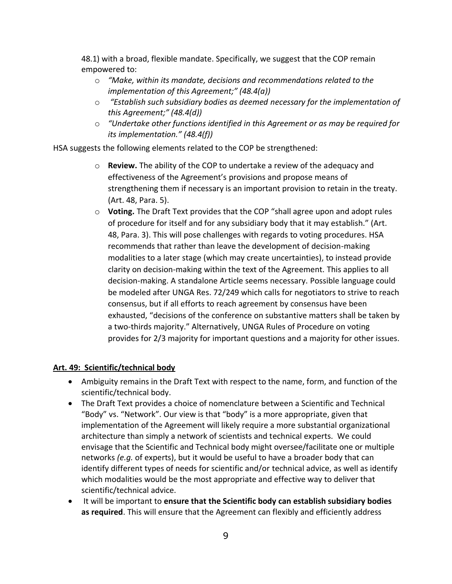48.1) with a broad, flexible mandate. Specifically, we suggest that the COP remain empowered to:

- o *"Make, within its mandate, decisions and recommendations related to the implementation of this Agreement;" (48.4(a))*
- o *"Establish such subsidiary bodies as deemed necessary for the implementation of this Agreement;" (48.4(d))*
- o *"Undertake other functions identified in this Agreement or as may be required for its implementation." (48.4(f))*

HSA suggests the following elements related to the COP be strengthened:

- o **Review.** The ability of the COP to undertake a review of the adequacy and effectiveness of the Agreement's provisions and propose means of strengthening them if necessary is an important provision to retain in the treaty. (Art. 48, Para. 5).
- o **Voting.** The Draft Text provides that the COP "shall agree upon and adopt rules of procedure for itself and for any subsidiary body that it may establish." (Art. 48, Para. 3). This will pose challenges with regards to voting procedures. HSA recommends that rather than leave the development of decision-making modalities to a later stage (which may create uncertainties), to instead provide clarity on decision-making within the text of the Agreement. This applies to all decision-making. A standalone Article seems necessary. Possible language could be modeled after UNGA Res. 72/249 which calls for negotiators to strive to reach consensus, but if all efforts to reach agreement by consensus have been exhausted, "decisions of the conference on substantive matters shall be taken by a two-thirds majority." Alternatively, UNGA Rules of Procedure on voting provides for 2/3 majority for important questions and a majority for other issues.

## **Art. 49: Scientific/technical body**

- Ambiguity remains in the Draft Text with respect to the name, form, and function of the scientific/technical body.
- The Draft Text provides a choice of nomenclature between a Scientific and Technical "Body" vs. "Network". Our view is that "body" is a more appropriate, given that implementation of the Agreement will likely require a more substantial organizational architecture than simply a network of scientists and technical experts. We could envisage that the Scientific and Technical body might oversee/facilitate one or multiple networks *(e.g.* of experts), but it would be useful to have a broader body that can identify different types of needs for scientific and/or technical advice, as well as identify which modalities would be the most appropriate and effective way to deliver that scientific/technical advice.
- It will be important to **ensure that the Scientific body can establish subsidiary bodies as required**. This will ensure that the Agreement can flexibly and efficiently address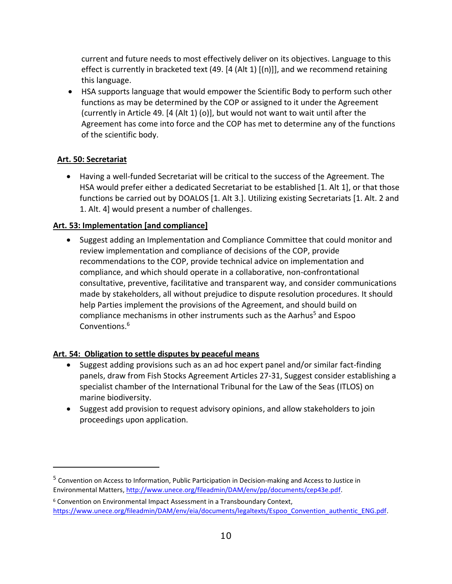current and future needs to most effectively deliver on its objectives. Language to this effect is currently in bracketed text (49. [4 (Alt 1) [(n)]], and we recommend retaining this language.

• HSA supports language that would empower the Scientific Body to perform such other functions as may be determined by the COP or assigned to it under the Agreement (currently in Article 49. [4 (Alt 1) (o)], but would not want to wait until after the Agreement has come into force and the COP has met to determine any of the functions of the scientific body.

## **Art. 50: Secretariat**

 $\overline{a}$ 

• Having a well-funded Secretariat will be critical to the success of the Agreement. The HSA would prefer either a dedicated Secretariat to be established [1. Alt 1], or that those functions be carried out by DOALOS [1. Alt 3.]. Utilizing existing Secretariats [1. Alt. 2 and 1. Alt. 4] would present a number of challenges.

#### **Art. 53: Implementation [and compliance]**

• Suggest adding an Implementation and Compliance Committee that could monitor and review implementation and compliance of decisions of the COP, provide recommendations to the COP, provide technical advice on implementation and compliance, and which should operate in a collaborative, non-confrontational consultative, preventive, facilitative and transparent way, and consider communications made by stakeholders, all without prejudice to dispute resolution procedures. It should help Parties implement the provisions of the Agreement, and should build on compliance mechanisms in other instruments such as the Aarhus<sup>5</sup> and Espoo Conventions. 6

## **Art. 54: Obligation to settle disputes by peaceful means**

- Suggest adding provisions such as an ad hoc expert panel and/or similar fact-finding panels, draw from Fish Stocks Agreement Articles 27-31, Suggest consider establishing a specialist chamber of the International Tribunal for the Law of the Seas (ITLOS) on marine biodiversity.
- Suggest add provision to request advisory opinions, and allow stakeholders to join proceedings upon application.

<sup>&</sup>lt;sup>5</sup> Convention on Access to Information, Public Participation in Decision-making and Access to Justice in Environmental Matters, [http://www.unece.org/fileadmin/DAM/env/pp/documents/cep43e.pdf.](http://www.unece.org/fileadmin/DAM/env/pp/documents/cep43e.pdf)

<sup>6</sup> Convention on Environmental Impact Assessment in a Transboundary Context, [https://www.unece.org/fileadmin/DAM/env/eia/documents/legaltexts/Espoo\\_Convention\\_authentic\\_ENG.pdf.](https://www.unece.org/fileadmin/DAM/env/eia/documents/legaltexts/Espoo_Convention_authentic_ENG.pdf)